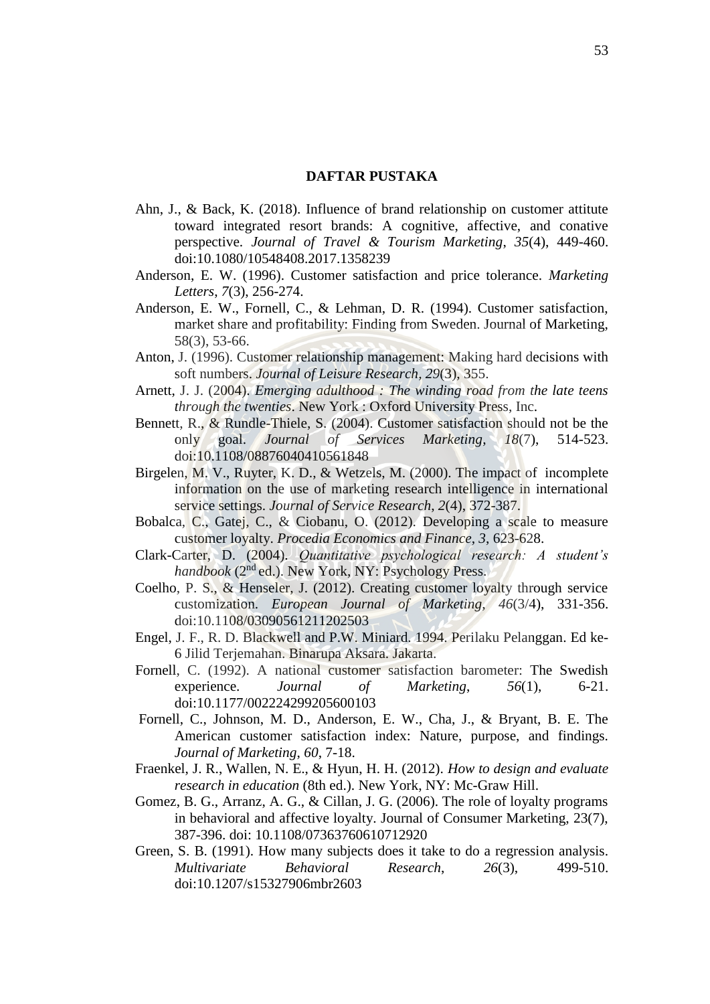## **DAFTAR PUSTAKA**

- Ahn, J., & Back, K. (2018). Influence of brand relationship on customer attitute toward integrated resort brands: A cognitive, affective, and conative perspective. *Journal of Travel & Tourism Marketing*, *35*(4), 449-460. doi:10.1080/10548408.2017.1358239
- Anderson, E. W. (1996). Customer satisfaction and price tolerance. *Marketing Letters*, *7*(3), 256-274.
- Anderson, E. W., Fornell, C., & Lehman, D. R. (1994). Customer satisfaction, market share and profitability: Finding from Sweden. Journal of Marketing, 58(3), 53-66.
- Anton, J. (1996). Customer relationship management: Making hard decisions with soft numbers. *Journal of Leisure Research*, *29*(3), 355.
- Arnett, J. J. (2004). *Emerging adulthood : The winding road from the late teens through the twenties*. New York : Oxford University Press, Inc.
- Bennett, R., & Rundle-Thiele, S. (2004). Customer satisfaction should not be the only goal. *Journal of Services Marketing*, *18*(7), 514-523. doi:10.1108/08876040410561848
- Birgelen, M. V., Ruyter, K. D., & Wetzels, M. (2000). The impact of incomplete information on the use of marketing research intelligence in international service settings. *Journal of Service Research*, *2*(4), 372-387.
- Bobalca, C., Gatej, C., & Ciobanu, O. (2012). Developing a scale to measure customer loyalty. *Procedia Economics and Finance*, *3*, 623-628.
- Clark-Carter, D. (2004). *Quantitative psychological research: A student's handbook* (2nd ed.). New York, NY: Psychology Press.
- Coelho, P. S., & Henseler, J. (2012). Creating customer loyalty through service customization. *European Journal of Marketing*, *46*(3/4), 331-356. [doi:10.1108/03090561211202503](https://doi.org/10.1108/03090561211202503)
- Engel, J. F., R. D. Blackwell and P.W. Miniard. 1994. Perilaku Pelanggan. Ed ke-6 Jilid Terjemahan. Binarupa Aksara. Jakarta.
- Fornell, C. (1992). A national customer satisfaction barometer: The Swedish experience. *Journal of Marketing*, *56*(1), 6-21. doi:10.1177/002224299205600103
- Fornell, C., Johnson, M. D., Anderson, E. W., Cha, J., & Bryant, B. E. The American customer satisfaction index: Nature, purpose, and findings. *Journal of Marketing*, *60*, 7-18.
- Fraenkel, J. R., Wallen, N. E., & Hyun, H. H. (2012). *How to design and evaluate research in education* (8th ed.). New York, NY: Mc-Graw Hill.
- Gomez, B. G., Arranz, A. G., & Cillan, J. G. (2006). The role of loyalty programs in behavioral and affective loyalty. Journal of Consumer Marketing, 23(7), 387-396. doi: 10.1108/07363760610712920
- Green, S. B. (1991). How many subjects does it take to do a regression analysis. *Multivariate Behavioral Research*, *26*(3), 499-510. doi:10.1207/s15327906mbr2603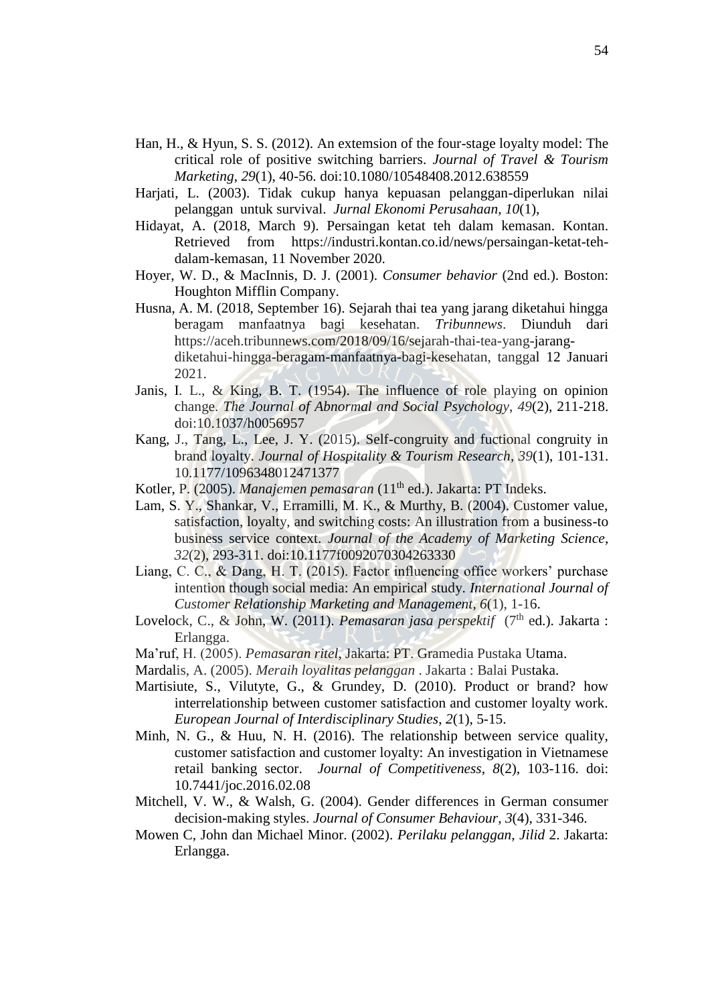- Han, H., & Hyun, S. S. (2012). An extemsion of the four-stage loyalty model: The critical role of positive switching barriers. *Journal of Travel & Tourism Marketing*, *29*(1), 40-56. doi:10.1080/10548408.2012.638559
- Harjati, L. (2003). Tidak cukup hanya kepuasan pelanggan-diperlukan nilai pelanggan untuk survival. *Jurnal Ekonomi Perusahaan*, *10*(1),
- Hidayat, A. (2018, March 9). Persaingan ketat teh dalam kemasan. Kontan. Retrieved from https://industri.kontan.co.id/news/persaingan-ketat-tehdalam-kemasan, 11 November 2020.
- Hoyer, W. D., & MacInnis, D. J. (2001). *Consumer behavior* (2nd ed.). Boston: Houghton Mifflin Company.
- Husna, A. M. (2018, September 16). Sejarah thai tea yang jarang diketahui hingga beragam manfaatnya bagi kesehatan. *Tribunnews*. Diunduh dari [https://aceh.tribunnews.com/2018/09/16/sejarah-thai-tea-yang-jarang](https://aceh.tribunnews.com/2018/09/16/sejarah-thai-tea-yang-jarang-diketahui-hingga-beragam-manfaatnya-bagi-kesehatan)[diketahui-hingga-beragam-manfaatnya-bagi-kesehatan,](https://aceh.tribunnews.com/2018/09/16/sejarah-thai-tea-yang-jarang-diketahui-hingga-beragam-manfaatnya-bagi-kesehatan) tanggal 12 Januari 2021.
- Janis, I. L., & King, B. T. (1954). The influence of role playing on opinion change. *The Journal of Abnormal and Social Psychology*, *49*(2), 211-218. doi:10.1037/h0056957
- Kang, J., Tang, L., Lee, J. Y. (2015). Self-congruity and fuctional congruity in brand loyalty. *Journal of Hospitality & Tourism Research*, *39*(1), 101-131. 10.1177/1096348012471377
- Kotler, P. (2005). *Manajemen pemasaran* (11th ed.). Jakarta: PT Indeks.
- Lam, S. Y., Shankar, V., Erramilli, M. K., & Murthy, B. (2004). Customer value, satisfaction, loyalty, and switching costs: An illustration from a business-to business service context. *Journal of the Academy of Marketing Science*, *32*(2), 293-311. doi:10.1177f0092070304263330
- Liang, C. C., & Dang, H. T. (2015). Factor influencing office workers' purchase intention though social media: An empirical study. *International Journal of Customer Relationship Marketing and Management*, *6*(1), 1-16.
- Lovelock, C., & John, W. (2011). *Pemasaran jasa perspektif* (7<sup>th</sup> ed.). Jakarta : Erlangga.
- Ma'ruf, H. (2005). *Pemasaran ritel*, Jakarta: PT. Gramedia Pustaka Utama.
- Mardalis, A. (2005). *Meraih loyalitas pelanggan* . Jakarta : Balai Pustaka.
- Martisiute, S., Vilutyte, G., & Grundey, D. (2010). Product or brand? how interrelationship between customer satisfaction and customer loyalty work. *European Journal of Interdisciplinary Studies*, *2*(1), 5-15.
- Minh, N. G., & Huu, N. H. (2016). The relationship between service quality, customer satisfaction and customer loyalty: An investigation in Vietnamese retail banking sector. *Journal of Competitiveness*, *8*(2), 103-116. doi: 10.7441/joc.2016.02.08
- Mitchell, V. W., & Walsh, G. (2004). Gender differences in German consumer decision-making styles. *Journal of Consumer Behaviour*, *3*(4), 331-346.
- Mowen C, John dan Michael Minor. (2002). *Perilaku pelanggan*, *Jilid* 2. Jakarta: Erlangga.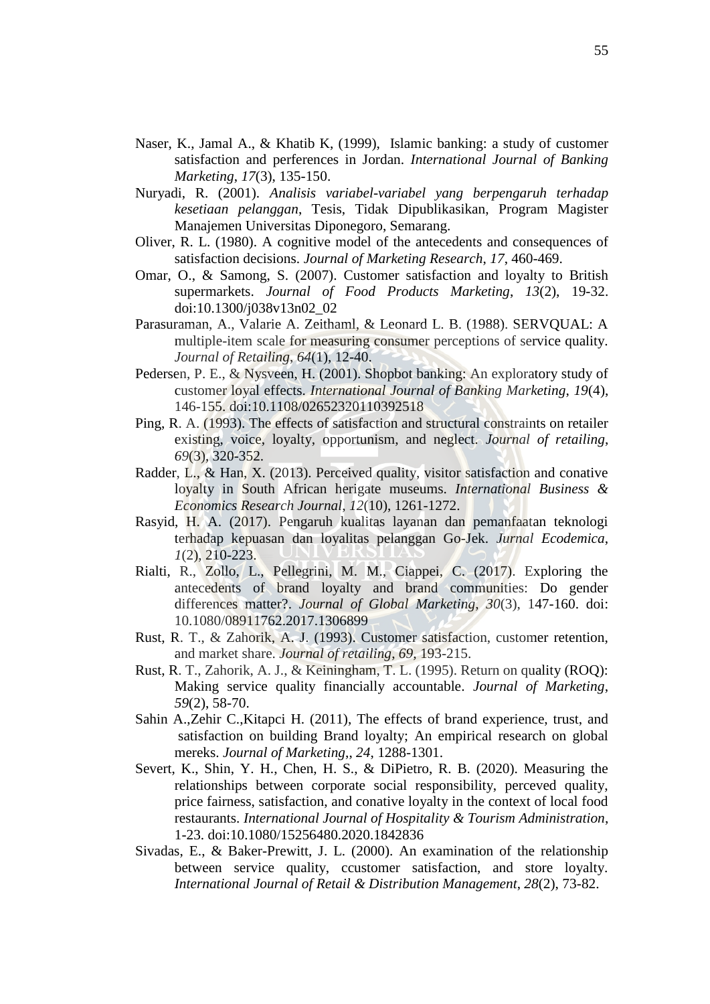- Naser, K., Jamal A., & Khatib K, (1999), Islamic banking: a study of customer satisfaction and perferences in Jordan. *International Journal of Banking Marketing*, *17*(3), 135-150.
- Nuryadi, R. (2001). *Analisis variabel-variabel yang berpengaruh terhadap kesetiaan pelanggan*, Tesis, Tidak Dipublikasikan, Program Magister Manajemen Universitas Diponegoro, Semarang.
- Oliver, R. L. (1980). A cognitive model of the antecedents and consequences of satisfaction decisions. *Journal of Marketing Research*, *17*, 460-469.
- Omar, O., & Samong, S. (2007). Customer satisfaction and loyalty to British supermarkets. *Journal of Food Products Marketing*, *13*(2), 19-32. doi:10.1300/j038v13n02\_02
- Parasuraman, A., Valarie A. Zeithaml, & Leonard L. B. (1988). SERVQUAL: A multiple-item scale for measuring consumer perceptions of service quality. *Journal of Retailing*, *64*(1), 12-40.
- Pedersen, P. E., & Nysveen, H. (2001). Shopbot banking: An exploratory study of customer loyal effects. *International Journal of Banking Marketing*, *19*(4), 146-155. doi:10.1108/02652320110392518
- Ping, R. A. (1993). The effects of satisfaction and structural constraints on retailer existing, voice, loyalty, opportunism, and neglect. *Journal of retailing*, *69*(3), 320-352.
- Radder, L., & Han, X. (2013). Perceived quality, visitor satisfaction and conative loyalty in South African herigate museums. *International Business & Economics Research Journal*, *12*(10), 1261-1272.
- Rasyid, H. A. (2017). Pengaruh kualitas layanan dan pemanfaatan teknologi terhadap kepuasan dan loyalitas pelanggan Go-Jek. *Jurnal Ecodemica*, *1*(2), 210-223.
- Rialti, R., Zollo, L., Pellegrini, M. M., Ciappei, C. (2017). Exploring the antecedents of brand loyalty and brand communities: Do gender differences matter?. *Journal of Global Marketing*, *30*(3), 147-160. doi: 10.1080/08911762.2017.1306899
- Rust, R. T., & Zahorik, A. J. (1993). Customer satisfaction, customer retention, and market share. *Journal of retailing*, *69*, 193-215.
- Rust, R. T., Zahorik, A. J., & Keiningham, T. L. (1995). Return on quality (ROQ): Making service quality financially accountable. *Journal of Marketing*, *59*(2), 58-70.
- Sahin A.,Zehir C.,Kitapci H. (2011), The effects of brand experience, trust, and satisfaction on building Brand loyalty; An empirical research on global mereks. *Journal of Marketing*,, *24*, 1288-1301.
- Severt, K., Shin, Y. H., Chen, H. S., & DiPietro, R. B. (2020). Measuring the relationships between corporate social responsibility, perceved quality, price fairness, satisfaction, and conative loyalty in the context of local food restaurants. *International Journal of Hospitality & Tourism Administration*, 1-23. doi:10.1080/15256480.2020.1842836
- Sivadas, E., & Baker-Prewitt, J. L. (2000). An examination of the relationship between service quality, ccustomer satisfaction, and store loyalty. *International Journal of Retail & Distribution Management*, *28*(2), 73-82.